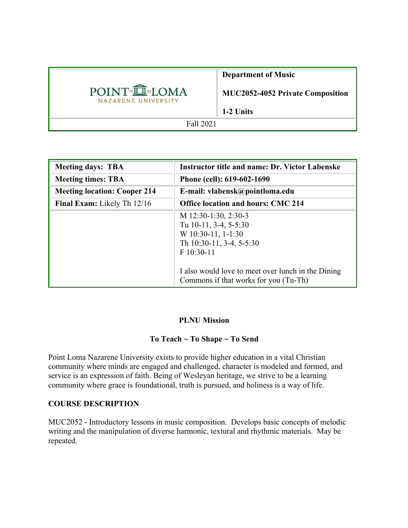|                                                | <b>Department of Music</b>              |
|------------------------------------------------|-----------------------------------------|
| POINT <sup>®</sup> IQMA<br>NAZARENE UNIVERSITY | <b>MUC2052-4052 Private Composition</b> |
|                                                | 1-2 Units                               |
| Fall 2021                                      |                                         |

| <b>Meeting days: TBA</b>            | <b>Instructor title and name: Dr. Victor Labenske</b>                                                                                                                                                          |  |
|-------------------------------------|----------------------------------------------------------------------------------------------------------------------------------------------------------------------------------------------------------------|--|
| <b>Meeting times: TBA</b>           | Phone (cell): 619-602-1690                                                                                                                                                                                     |  |
| <b>Meeting location: Cooper 214</b> | E-mail: vlabensk@pointloma.edu                                                                                                                                                                                 |  |
| Final Exam: Likely Th 12/16         | <b>Office location and hours: CMC 214</b>                                                                                                                                                                      |  |
|                                     | M 12:30-1:30, 2:30-3<br>Tu 10-11, 3-4, 5-5:30<br>$W$ 10:30-11, 1-1:30<br>Th 10:30-11, 3-4, 5-5:30<br>F 10:30-11<br>I also would love to meet over lunch in the Dining<br>Commons if that works for you (Tu-Th) |  |

### **PLNU Mission**

#### **To Teach ~ To Shape ~ To Send**

Point Loma Nazarene University exists to provide higher education in a vital Christian community where minds are engaged and challenged, character is modeled and formed, and service is an expression of faith. Being of Wesleyan heritage, we strive to be a learning community where grace is foundational, truth is pursued, and holiness is a way of life.

#### **COURSE DESCRIPTION**

MUC2052 - Introductory lessons in music composition. Develops basic concepts of melodic writing and the manipulation of diverse harmonic, textural and rhythmic materials. May be repeated.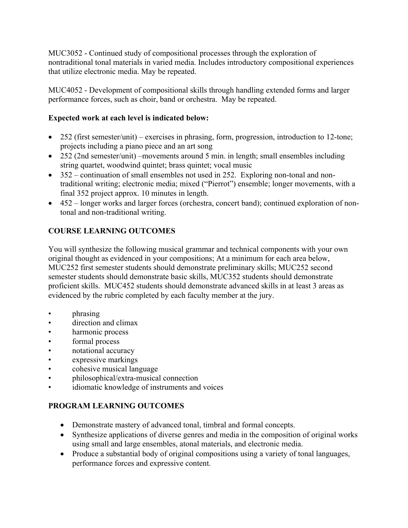MUC3052 - Continued study of compositional processes through the exploration of nontraditional tonal materials in varied media. Includes introductory compositional experiences that utilize electronic media. May be repeated.

MUC4052 - Development of compositional skills through handling extended forms and larger performance forces, such as choir, band or orchestra. May be repeated.

## **Expected work at each level is indicated below:**

- 252 (first semester/unit) exercises in phrasing, form, progression, introduction to 12-tone; projects including a piano piece and an art song
- 252 (2nd semester/unit) –movements around 5 min. in length; small ensembles including string quartet, woodwind quintet; brass quintet; vocal music
- 352 continuation of small ensembles not used in 252. Exploring non-tonal and nontraditional writing; electronic media; mixed ("Pierrot") ensemble; longer movements, with a final 352 project approx. 10 minutes in length.
- 452 longer works and larger forces (orchestra, concert band); continued exploration of nontonal and non-traditional writing.

# **COURSE LEARNING OUTCOMES**

You will synthesize the following musical grammar and technical components with your own original thought as evidenced in your compositions; At a minimum for each area below, MUC252 first semester students should demonstrate preliminary skills; MUC252 second semester students should demonstrate basic skills, MUC352 students should demonstrate proficient skills. MUC452 students should demonstrate advanced skills in at least 3 areas as evidenced by the rubric completed by each faculty member at the jury.

- phrasing
- direction and climax
- harmonic process
- formal process
- notational accuracy
- expressive markings
- cohesive musical language
- philosophical/extra-musical connection
- idiomatic knowledge of instruments and voices

## **PROGRAM LEARNING OUTCOMES**

- Demonstrate mastery of advanced tonal, timbral and formal concepts.
- Synthesize applications of diverse genres and media in the composition of original works using small and large ensembles, atonal materials, and electronic media.
- Produce a substantial body of original compositions using a variety of tonal languages, performance forces and expressive content.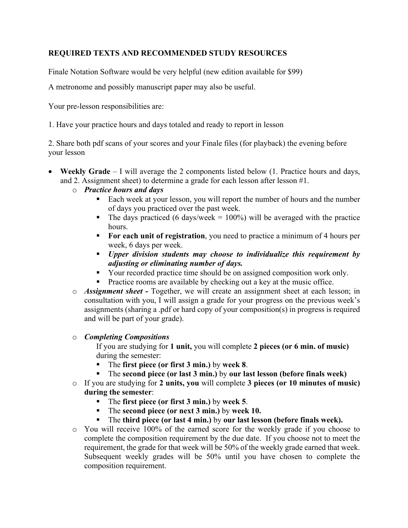### **REQUIRED TEXTS AND RECOMMENDED STUDY RESOURCES**

Finale Notation Software would be very helpful (new edition available for \$99)

A metronome and possibly manuscript paper may also be useful.

Your pre-lesson responsibilities are:

1. Have your practice hours and days totaled and ready to report in lesson

2. Share both pdf scans of your scores and your Finale files (for playback) the evening before your lesson

- **Weekly Grade** I will average the 2 components listed below (1. Practice hours and days, and 2. Assignment sheet) to determine a grade for each lesson after lesson #1.
	- o *Practice hours and days* 
		- Each week at your lesson, you will report the number of hours and the number of days you practiced over the past week.
		- The days practiced (6 days/week =  $100\%$ ) will be averaged with the practice hours.
		- **For each unit of registration**, you need to practice a minimum of 4 hours per week, 6 days per week.
		- § *Upper division students may choose to individualize this requirement by adjusting or eliminating number of days.*
		- Your recorded practice time should be on assigned composition work only.
		- Practice rooms are available by checking out a key at the music office.
	- o *Assignment sheet -* Together, we will create an assignment sheet at each lesson; in consultation with you, I will assign a grade for your progress on the previous week's assignments (sharing a .pdf or hard copy of your composition(s) in progress is required and will be part of your grade).

#### o *Completing Compositions*

If you are studying for **1 unit,** you will complete **2 pieces (or 6 min. of music)** during the semester:

- § The **first piece (or first 3 min.)** by **week 8**.
- § The **second piece (or last 3 min.)** by **our last lesson (before finals week)**
- o If you are studying for **2 units, you** will complete **3 pieces (or 10 minutes of music) during the semester**:
	- § The **first piece (or first 3 min.)** by **week 5**.
	- § The **second piece (or next 3 min.)** by **week 10.**
	- § The **third piece (or last 4 min.)** by **our last lesson (before finals week).**
- o You will receive 100% of the earned score for the weekly grade if you choose to complete the composition requirement by the due date. If you choose not to meet the requirement, the grade for that week will be 50% of the weekly grade earned that week. Subsequent weekly grades will be 50% until you have chosen to complete the composition requirement.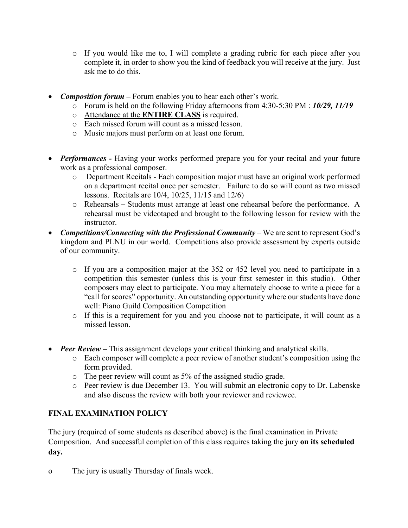- o If you would like me to, I will complete a grading rubric for each piece after you complete it, in order to show you the kind of feedback you will receive at the jury. Just ask me to do this.
- *Composition forum* Forum enables you to hear each other's work.
	- o Forum is held on the following Friday afternoons from 4:30-5:30 PM : *10/29, 11/19*
	- o Attendance at the **ENTIRE CLASS** is required.
	- o Each missed forum will count as a missed lesson.
	- o Music majors must perform on at least one forum.
- *Performances* Having your works performed prepare you for your recital and your future work as a professional composer.
	- o Department Recitals Each composition major must have an original work performed on a department recital once per semester. Failure to do so will count as two missed lessons. Recitals are 10/4, 10/25, 11/15 and 12/6)
	- o Rehearsals Students must arrange at least one rehearsal before the performance. A rehearsal must be videotaped and brought to the following lesson for review with the instructor.
- *Competitions/Connecting with the Professional Community* We are sent to represent God's kingdom and PLNU in our world. Competitions also provide assessment by experts outside of our community.
	- o If you are a composition major at the 352 or 452 level you need to participate in a competition this semester (unless this is your first semester in this studio). Other composers may elect to participate. You may alternately choose to write a piece for a "call for scores" opportunity. An outstanding opportunity where our students have done well: Piano Guild Composition Competition
	- o If this is a requirement for you and you choose not to participate, it will count as a missed lesson.
- *Peer Review* This assignment develops your critical thinking and analytical skills.
	- o Each composer will complete a peer review of another student's composition using the form provided.
	- o The peer review will count as 5% of the assigned studio grade.
	- o Peer review is due December 13. You will submit an electronic copy to Dr. Labenske and also discuss the review with both your reviewer and reviewee.

### **FINAL EXAMINATION POLICY**

The jury (required of some students as described above) is the final examination in Private Composition. And successful completion of this class requires taking the jury **on its scheduled day.** 

o The jury is usually Thursday of finals week.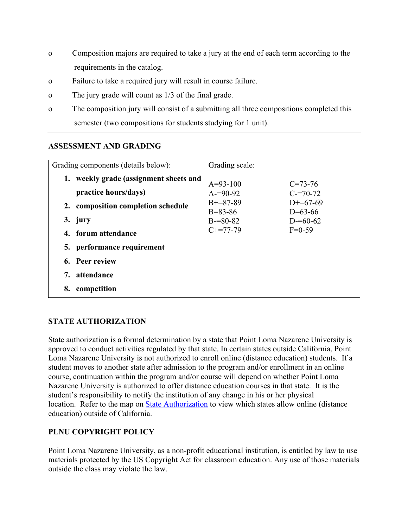- o Composition majors are required to take a jury at the end of each term according to the requirements in the catalog.
- o Failure to take a required jury will result in course failure.
- o The jury grade will count as 1/3 of the final grade.
- o The composition jury will consist of a submitting all three compositions completed this semester (two compositions for students studying for 1 unit).

#### **ASSESSMENT AND GRADING**

| Grading components (details below): | Grading scale:              |                         |
|-------------------------------------|-----------------------------|-------------------------|
| weekly grade (assignment sheets and | $A=93-100$                  | $C = 73 - 76$           |
| practice hours/days)                | $A = 90 - 92$               | $C = 70-72$             |
| 2. composition completion schedule  | $B+=87-89$<br>$B = 83 - 86$ | $D+=67-69$<br>$D=63-66$ |
| 3. jury                             | $B = 80 - 82$               | $D = 60 - 62$           |
| 4. forum attendance                 | $C+=77-79$                  | $F=0-59$                |
| 5. performance requirement          |                             |                         |
| 6. Peer review                      |                             |                         |
| attendance<br>7.                    |                             |                         |
| competition<br>8.                   |                             |                         |

#### **STATE AUTHORIZATION**

State authorization is a formal determination by a state that Point Loma Nazarene University is approved to conduct activities regulated by that state. In certain states outside California, Point Loma Nazarene University is not authorized to enroll online (distance education) students. If a student moves to another state after admission to the program and/or enrollment in an online course, continuation within the program and/or course will depend on whether Point Loma Nazarene University is authorized to offer distance education courses in that state. It is the student's responsibility to notify the institution of any change in his or her physical location. Refer to the map on State Authorization to view which states allow online (distance education) outside of California.

#### **PLNU COPYRIGHT POLICY**

Point Loma Nazarene University, as a non-profit educational institution, is entitled by law to use materials protected by the US Copyright Act for classroom education. Any use of those materials outside the class may violate the law.